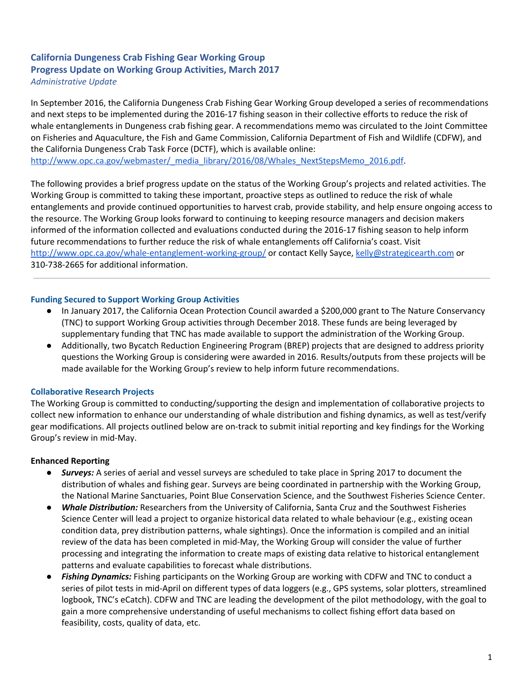# **California Dungeness Crab Fishing Gear Working Group Progress Update on Working Group Activities, March 2017** *Administrative Update*

In September 2016, the California Dungeness Crab Fishing Gear Working Group developed a series of recommendations and next steps to be implemented during the 2016-17 fishing season in their collective efforts to reduce the risk of whale entanglements in Dungeness crab fishing gear. A recommendations memo was circulated to the Joint Committee on Fisheries and Aquaculture, the Fish and Game Commission, California Department of Fish and Wildlife (CDFW), and the California Dungeness Crab Task Force (DCTF), which is available online: [http://www.opc.ca.gov/webmaster/\\_media\\_library/2016/08/Whales\\_NextStepsMemo\\_2016.pdf.](http://www.opc.ca.gov/webmaster/_media_library/2016/08/Whales_NextStepsMemo_2016.pdf)

The following provides a brief progress update on the status of the Working Group's projects and related activities. The Working Group is committed to taking these important, proactive steps as outlined to reduce the risk of whale entanglements and provide continued opportunities to harvest crab, provide stability, and help ensure ongoing access to the resource. The Working Group looks forward to continuing to keeping resource managers and decision makers informed of the information collected and evaluations conducted during the 2016-17 fishing season to help inform future recommendations to further reduce the risk of whale entanglements off California's coast. Visit <http://www.opc.ca.gov/whale-entanglement-working-group/> or contact Kelly Sayce, [kelly@strategicearth.com](mailto:kelly@strategicearth.com) or 310-738-2665 for additional information.

### **Funding Secured to Support Working Group Activities**

- In January 2017, the California Ocean Protection Council awarded a \$200,000 grant to The Nature Conservancy (TNC) to support Working Group activities through December 2018. These funds are being leveraged by supplementary funding that TNC has made available to support the administration of the Working Group.
- Additionally, two Bycatch Reduction Engineering Program (BREP) projects that are designed to address priority questions the Working Group is considering were awarded in 2016. Results/outputs from these projects will be made available for the Working Group's review to help inform future recommendations.

# **Collaborative Research Projects**

The Working Group is committed to conducting/supporting the design and implementation of collaborative projects to collect new information to enhance our understanding of whale distribution and fishing dynamics, as well as test/verify gear modifications. All projects outlined below are on-track to submit initial reporting and key findings for the Working Group's review in mid-May.

# **Enhanced Reporting**

- *Surveys:* A series of aerial and vessel surveys are scheduled to take place in Spring 2017 to document the distribution of whales and fishing gear. Surveys are being coordinated in partnership with the Working Group, the National Marine Sanctuaries, Point Blue Conservation Science, and the Southwest Fisheries Science Center.
- *Whale Distribution:* Researchers from the University of California, Santa Cruz and the Southwest Fisheries Science Center will lead a project to organize historical data related to whale behaviour (e.g., existing ocean condition data, prey distribution patterns, whale sightings). Once the information is compiled and an initial review of the data has been completed in mid-May, the Working Group will consider the value of further processing and integrating the information to create maps of existing data relative to historical entanglement patterns and evaluate capabilities to forecast whale distributions.
- *Fishing Dynamics:* Fishing participants on the Working Group are working with CDFW and TNC to conduct a series of pilot tests in mid-April on different types of data loggers (e.g., GPS systems, solar plotters, streamlined logbook, TNC's eCatch). CDFW and TNC are leading the development of the pilot methodology, with the goal to gain a more comprehensive understanding of useful mechanisms to collect fishing effort data based on feasibility, costs, quality of data, etc.